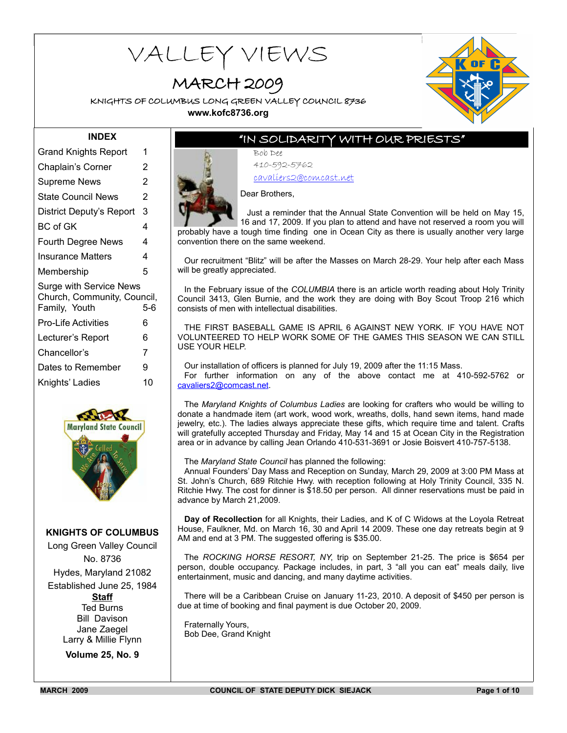# VALLEY VIEWS

# MARCH 2009

KNIGHTS OF COLUMBUS LONG GREEN VALLEY COUNCIL 8736



**www.kofc8736.org**

#### **INDEX**

| Grand Knights Report                                                                  | 1  |  |  |  |
|---------------------------------------------------------------------------------------|----|--|--|--|
| Chaplain's Corner                                                                     | 2  |  |  |  |
| <b>Supreme News</b>                                                                   | 2  |  |  |  |
| State Council News                                                                    | 2  |  |  |  |
| District Deputy's Report                                                              | 3  |  |  |  |
| BC of GK                                                                              | 4  |  |  |  |
| <b>Fourth Degree News</b>                                                             | 4  |  |  |  |
| Insurance Matters                                                                     | 4  |  |  |  |
| Membership                                                                            | 5  |  |  |  |
| <b>Surge with Service News</b><br>Church, Community, Council,<br>Family, Youth<br>5-6 |    |  |  |  |
| <b>Pro-Life Activities</b>                                                            | 6  |  |  |  |
| Lecturer's Report                                                                     | 6  |  |  |  |
| Chancellor's                                                                          | 7  |  |  |  |
| Dates to Remember                                                                     | 9  |  |  |  |
| Knights' Ladies                                                                       | 10 |  |  |  |
|                                                                                       |    |  |  |  |



#### **KNIGHTS OF COLUMBUS**

Long Green Valley Council No. 8736 Hydes, Maryland 21082 Established June 25, 1984 **Staff** Ted Burns Bill Davison Jane Zaegel Larry & Millie Flynn

**Volume 25, No. 9**

# "IN SOLIDARITY WITH OUR PRIESTS"

Bob Dee 410-592-5762 cavaliers2@comcast.net

Dear Brothers,

Just a reminder that the Annual State Convention will be held on May 15, 16 and 17, 2009. If you plan to attend and have not reserved a room you will probably have a tough time finding one in Ocean City as there is usually another very large convention there on the same weekend.

Our recruitment "Blitz" will be after the Masses on March 28-29. Your help after each Mass will be greatly appreciated.

In the February issue of the *COLUMBIA* there is an article worth reading about Holy Trinity Council 3413, Glen Burnie, and the work they are doing with Boy Scout Troop 216 which consists of men with intellectual disabilities.

THE FIRST BASEBALL GAME IS APRIL 6 AGAINST NEW YORK. IF YOU HAVE NOT VOLUNTEERED TO HELP WORK SOME OF THE GAMES THIS SEASON WE CAN STILL USE YOUR HELP.

Our installation of officers is planned for July 19, 2009 after the 11:15 Mass. For further information on any of the above contact me at 410-592-5762 or cavaliers2@comcast.net.

The *Maryland Knights of Columbus Ladies* are looking for crafters who would be willing to donate a handmade item (art work, wood work, wreaths, dolls, hand sewn items, hand made jewelry, etc.). The ladies always appreciate these gifts, which require time and talent. Crafts will gratefully accepted Thursday and Friday, May 14 and 15 at Ocean City in the Registration area or in advance by calling Jean Orlando 410-531-3691 or Josie Boisvert 410-757-5138.

The *Maryland State Council* has planned the following:

Annual Founders' Day Mass and Reception on Sunday, March 29, 2009 at 3:00 PM Mass at St. John's Church, 689 Ritchie Hwy. with reception following at Holy Trinity Council, 335 N. Ritchie Hwy. The cost for dinner is \$18.50 per person. All dinner reservations must be paid in advance by March 21,2009.

**Day of Recollection** for all Knights, their Ladies, and K of C Widows at the Loyola Retreat House, Faulkner, Md. on March 16, 30 and April 14 2009. These one day retreats begin at 9 AM and end at 3 PM. The suggested offering is \$35.00.

The *ROCKING HORSE RESORT, NY*, trip on September 21-25. The price is \$654 per person, double occupancy. Package includes, in part, 3 "all you can eat" meals daily, live entertainment, music and dancing, and many daytime activities.

There will be a Caribbean Cruise on January 11-23, 2010. A deposit of \$450 per person is due at time of booking and final payment is due October 20, 2009.

Fraternally Yours, Bob Dee, Grand Knight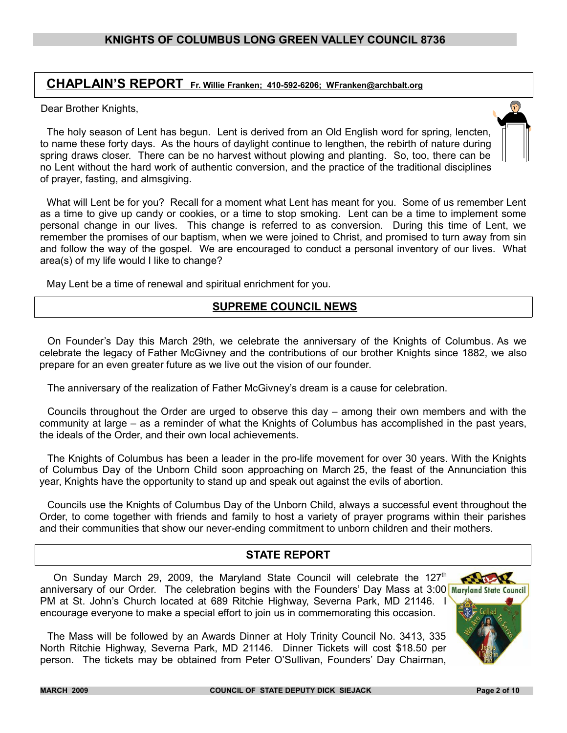# **CHAPLAIN'S REPORT Fr. Willie Franken; 410-592-6206; WFranken@archbalt.org**

Dear Brother Knights,

The holy season of Lent has begun. Lent is derived from an Old English word for spring, lencten, to name these forty days. As the hours of daylight continue to lengthen, the rebirth of nature during spring draws closer. There can be no harvest without plowing and planting. So, too, there can be no Lent without the hard work of authentic conversion, and the practice of the traditional disciplines of prayer, fasting, and almsgiving.

What will Lent be for you? Recall for a moment what Lent has meant for you. Some of us remember Lent as a time to give up candy or cookies, or a time to stop smoking. Lent can be a time to implement some personal change in our lives. This change is referred to as conversion. During this time of Lent, we remember the promises of our baptism, when we were joined to Christ, and promised to turn away from sin and follow the way of the gospel. We are encouraged to conduct a personal inventory of our lives. What area(s) of my life would I like to change?

May Lent be a time of renewal and spiritual enrichment for you.

# **SUPREME COUNCIL NEWS**

On Founder's Day this March 29th, we celebrate the anniversary of the Knights of Columbus. As we celebrate the legacy of Father McGivney and the contributions of our brother Knights since 1882, we also prepare for an even greater future as we live out the vision of our founder.

The anniversary of the realization of Father McGivney's dream is a cause for celebration.

Councils throughout the Order are urged to observe this day – among their own members and with the community at large – as a reminder of what the Knights of Columbus has accomplished in the past years, the ideals of the Order, and their own local achievements.

The Knights of Columbus has been a leader in the pro-life movement for over 30 years. With the Knights of Columbus Day of the Unborn Child soon approaching on March 25, the feast of the Annunciation this year, Knights have the opportunity to stand up and speak out against the evils of abortion.

Councils use the Knights of Columbus Day of the Unborn Child, always a successful event throughout the Order, to come together with friends and family to host a variety of prayer programs within their parishes and their communities that show our never-ending commitment to unborn children and their mothers.

# **STATE REPORT**

On Sunday March 29, 2009, the Maryland State Council will celebrate the  $127<sup>th</sup>$ **BALLAR** anniversary of our Order. The celebration begins with the Founders' Day Mass at 3:00 Maryland State Council PM at St. John's Church located at 689 Ritchie Highway, Severna Park, MD 21146. I encourage everyone to make a special effort to join us in commemorating this occasion.



 $\bigcap$ 

The Mass will be followed by an Awards Dinner at Holy Trinity Council No. 3413, 335 North Ritchie Highway, Severna Park, MD 21146. Dinner Tickets will cost \$18.50 per person. The tickets may be obtained from Peter O'Sullivan, Founders' Day Chairman,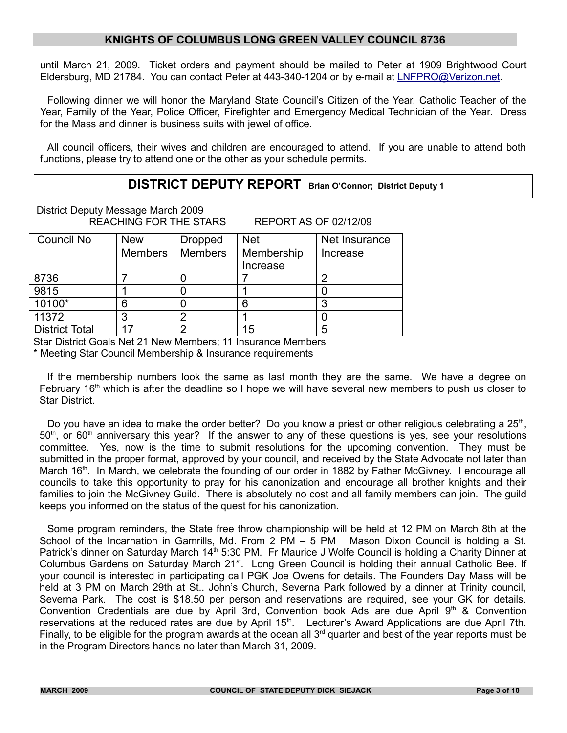until March 21, 2009. Ticket orders and payment should be mailed to Peter at 1909 Brightwood Court Eldersburg, MD 21784. You can contact Peter at 443-340-1204 or by e-mail at [LNFPRO@Verizon.net.](mailto:LNFPRO@Verizon.net)

Following dinner we will honor the Maryland State Council's Citizen of the Year, Catholic Teacher of the Year, Family of the Year, Police Officer, Firefighter and Emergency Medical Technician of the Year. Dress for the Mass and dinner is business suits with jewel of office.

All council officers, their wives and children are encouraged to attend. If you are unable to attend both functions, please try to attend one or the other as your schedule permits.

# **DISTRICT DEPUTY REPORT Brian O'Connor; District Deputy 1**

District Deputy Message March 2009 REACHING FOR THE STARS REPORT AS OF 02/12/09

| Council No            | <b>New</b>     | <b>Dropped</b> | <b>Net</b> | Net Insurance |
|-----------------------|----------------|----------------|------------|---------------|
|                       | <b>Members</b> | <b>Members</b> | Membership | Increase      |
|                       |                |                | Increase   |               |
| 8736                  |                |                |            |               |
| 9815                  |                |                |            |               |
| 10100*                |                |                |            |               |
| 11372                 |                |                |            |               |
| <b>District Total</b> |                |                | 15         |               |

Star District Goals Net 21 New Members; 11 Insurance Members

\* Meeting Star Council Membership & Insurance requirements

If the membership numbers look the same as last month they are the same. We have a degree on February 16<sup>th</sup> which is after the deadline so I hope we will have several new members to push us closer to Star District.

Do you have an idea to make the order better? Do you know a priest or other religious celebrating a  $25<sup>th</sup>$ ,  $50<sup>th</sup>$ , or 60<sup>th</sup> anniversary this year? If the answer to any of these questions is yes, see your resolutions committee. Yes, now is the time to submit resolutions for the upcoming convention. They must be submitted in the proper format, approved by your council, and received by the State Advocate not later than March 16<sup>th</sup>. In March, we celebrate the founding of our order in 1882 by Father McGivney. I encourage all councils to take this opportunity to pray for his canonization and encourage all brother knights and their families to join the McGivney Guild. There is absolutely no cost and all family members can join. The guild keeps you informed on the status of the quest for his canonization.

Some program reminders, the State free throw championship will be held at 12 PM on March 8th at the School of the Incarnation in Gamrills, Md. From 2 PM – 5 PM Mason Dixon Council is holding a St. Patrick's dinner on Saturday March 14<sup>th</sup> 5:30 PM. Fr Maurice J Wolfe Council is holding a Charity Dinner at Columbus Gardens on Saturday March 21<sup>st</sup>. Long Green Council is holding their annual Catholic Bee. If your council is interested in participating call PGK Joe Owens for details. The Founders Day Mass will be held at 3 PM on March 29th at St.. John's Church, Severna Park followed by a dinner at Trinity council, Severna Park. The cost is \$18.50 per person and reservations are required, see your GK for details. Convention Credentials are due by April 3rd, Convention book Ads are due April  $9<sup>th</sup>$  & Convention reservations at the reduced rates are due by April 15<sup>th</sup>. Lecturer's Award Applications are due April 7th. Finally, to be eligible for the program awards at the ocean all  $3<sup>rd</sup>$  quarter and best of the year reports must be in the Program Directors hands no later than March 31, 2009.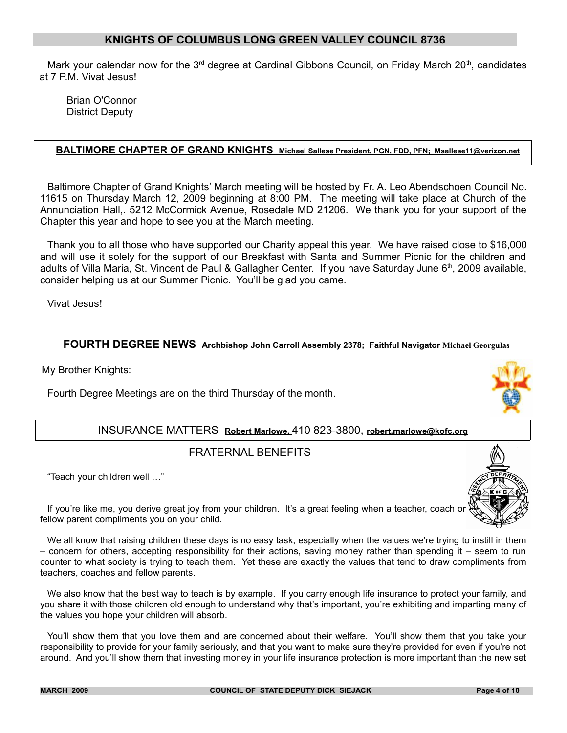Mark your calendar now for the  $3<sup>rd</sup>$  degree at Cardinal Gibbons Council, on Friday March 20<sup>th</sup>, candidates at 7 P.M. Vivat Jesus!

Brian O'Connor District Deputy

#### **BALTIMORE CHAPTER OF GRAND KNIGHTS Michael Sallese President, PGN, FDD, PFN; Msallese11@verizon.net**

Baltimore Chapter of Grand Knights' March meeting will be hosted by Fr. A. Leo Abendschoen Council No. 11615 on Thursday March 12, 2009 beginning at 8:00 PM. The meeting will take place at Church of the Annunciation Hall,. 5212 McCormick Avenue, Rosedale MD 21206. We thank you for your support of the Chapter this year and hope to see you at the March meeting.

Thank you to all those who have supported our Charity appeal this year. We have raised close to \$16,000 and will use it solely for the support of our Breakfast with Santa and Summer Picnic for the children and adults of Villa Maria, St. Vincent de Paul & Gallagher Center. If you have Saturday June 6<sup>th</sup>, 2009 available, consider helping us at our Summer Picnic. You'll be glad you came.

Vivat Jesus!

#### **FOURTH DEGREE NEWS Archbishop John Carroll Assembly 2378; Faithful Navigator Michael Georgulas**

My Brother Knights:

Fourth Degree Meetings are on the third Thursday of the month.

# INSURANCE MATTERS **Robert Marlowe,** 410 823-3800, **robert.marlowe@kofc.org**

# FRATERNAL BENEFITS

"Teach your children well …"

If you're like me, you derive great joy from your children. It's a great feeling when a teacher, coach or fellow parent compliments you on your child.

We all know that raising children these days is no easy task, especially when the values we're trying to instill in them – concern for others, accepting responsibility for their actions, saving money rather than spending it – seem to run counter to what society is trying to teach them. Yet these are exactly the values that tend to draw compliments from teachers, coaches and fellow parents.

We also know that the best way to teach is by example. If you carry enough life insurance to protect your family, and you share it with those children old enough to understand why that's important, you're exhibiting and imparting many of the values you hope your children will absorb.

You'll show them that you love them and are concerned about their welfare. You'll show them that you take your responsibility to provide for your family seriously, and that you want to make sure they're provided for even if you're not around. And you'll show them that investing money in your life insurance protection is more important than the new set

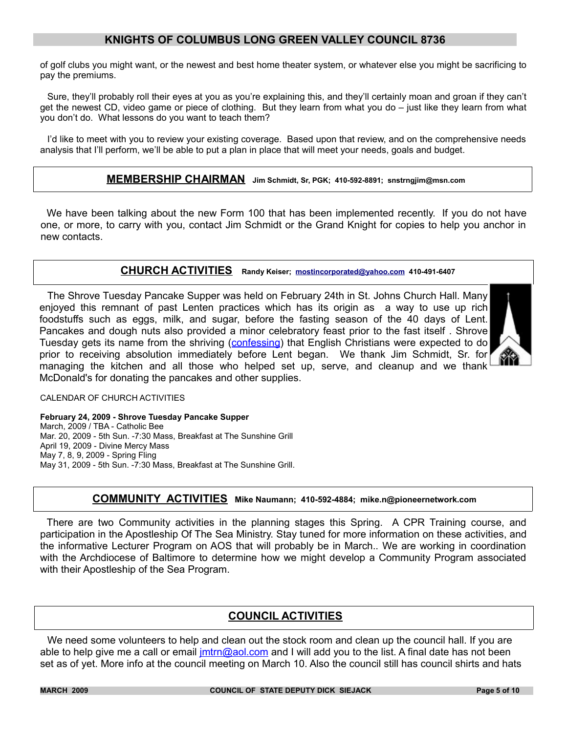of golf clubs you might want, or the newest and best home theater system, or whatever else you might be sacrificing to pay the premiums.

Sure, they'll probably roll their eyes at you as you're explaining this, and they'll certainly moan and groan if they can't get the newest CD, video game or piece of clothing. But they learn from what you do – just like they learn from what you don't do. What lessons do you want to teach them?

I'd like to meet with you to review your existing coverage. Based upon that review, and on the comprehensive needs analysis that I'll perform, we'll be able to put a plan in place that will meet your needs, goals and budget.

#### **MEMBERSHIP CHAIRMAN Jim Schmidt, Sr, PGK; 410-592-8891; snstrngjim@msn.com**

We have been talking about the new Form 100 that has been implemented recently. If you do not have one, or more, to carry with you, contact Jim Schmidt or the Grand Knight for copies to help you anchor in new contacts.

#### **CHURCH ACTIVITIES Randy Keiser; [mostincorporated@yahoo.com](mailto:mostincorporated@yahoo.com) 410-491-6407**

The Shrove Tuesday Pancake Supper was held on February 24th in St. Johns Church Hall. Many enjoyed this remnant of past Lenten practices which has its origin as a way to use up rich foodstuffs such as eggs, milk, and sugar, before the fasting season of the 40 days of Lent. Pancakes and dough nuts also provided a minor celebratory feast prior to the fast itself. Shrove Tuesday gets its name from the shriving (confessing) that English Christians were expected to do prior to receiving absolution immediately before Lent began. We thank Jim Schmidt, Sr. for managing the kitchen and all those who helped set up, serve, and cleanup and we thank McDonald's for donating the pancakes and other supplies.



CALENDAR OF CHURCH ACTIVITIES

**February 24, 2009 - Shrove Tuesday Pancake Supper** March, 2009 / TBA - Catholic Bee Mar. 20, 2009 - 5th Sun. -7:30 Mass, Breakfast at The Sunshine Grill April 19, 2009 - Divine Mercy Mass May 7, 8, 9, 2009 - Spring Fling May 31, 2009 - 5th Sun. -7:30 Mass, Breakfast at The Sunshine Grill.

#### **COMMUNITY ACTIVITIES Mike Naumann; 410-592-4884; mike.n@pioneernetwork.com**

There are two Community activities in the planning stages this Spring. A CPR Training course, and participation in the Apostleship Of The Sea Ministry. Stay tuned for more information on these activities, and the informative Lecturer Program on AOS that will probably be in March.. We are working in coordination with the Archdiocese of Baltimore to determine how we might develop a Community Program associated with their Apostleship of the Sea Program.

# **COUNCIL ACTIVITIES**

We need some volunteers to help and clean out the stock room and clean up the council hall. If you are able to help give me a call or email  $\frac{1}{m}$ t metal.com and I will add you to the list. A final date has not been set as of yet. More info at the council meeting on March 10. Also the council still has council shirts and hats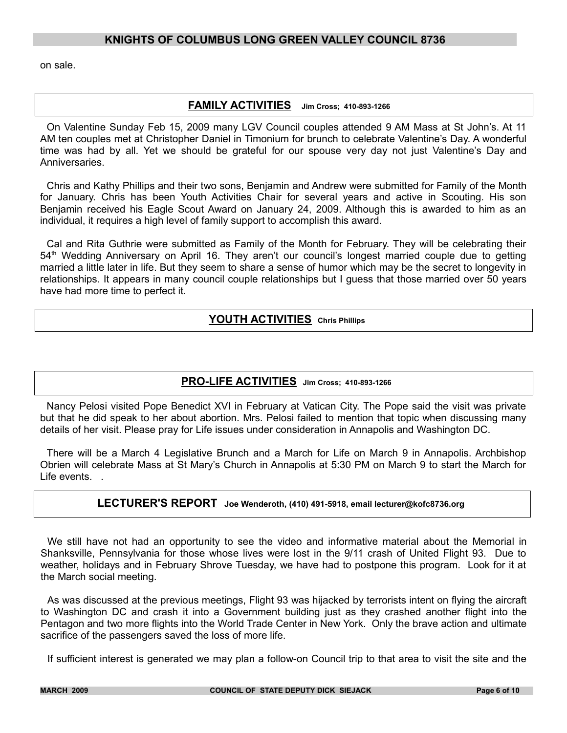on sale.

#### **FAMILY ACTIVITIES Jim Cross; 410-893-1266**

On Valentine Sunday Feb 15, 2009 many LGV Council couples attended 9 AM Mass at St John's. At 11 AM ten couples met at Christopher Daniel in Timonium for brunch to celebrate Valentine's Day. A wonderful time was had by all. Yet we should be grateful for our spouse very day not just Valentine's Day and **Anniversaries** 

Chris and Kathy Phillips and their two sons, Benjamin and Andrew were submitted for Family of the Month for January. Chris has been Youth Activities Chair for several years and active in Scouting. His son Benjamin received his Eagle Scout Award on January 24, 2009. Although this is awarded to him as an individual, it requires a high level of family support to accomplish this award.

Cal and Rita Guthrie were submitted as Family of the Month for February. They will be celebrating their 54<sup>th</sup> Wedding Anniversary on April 16. They aren't our council's longest married couple due to getting married a little later in life. But they seem to share a sense of humor which may be the secret to longevity in relationships. It appears in many council couple relationships but I guess that those married over 50 years have had more time to perfect it.

# **YOUTH ACTIVITIES Chris Phillips**

# **PRO-LIFE ACTIVITIES Jim Cross; 410-893-1266**

Nancy Pelosi visited Pope Benedict XVI in February at Vatican City. The Pope said the visit was private but that he did speak to her about abortion. Mrs. Pelosi failed to mention that topic when discussing many details of her visit. Please pray for Life issues under consideration in Annapolis and Washington DC.

There will be a March 4 Legislative Brunch and a March for Life on March 9 in Annapolis. Archbishop Obrien will celebrate Mass at St Mary's Church in Annapolis at 5:30 PM on March 9 to start the March for Life events. .

#### **LECTURER'S REPORT Joe Wenderoth, (410) 491-5918, email lecturer@kofc8736.org**

We still have not had an opportunity to see the video and informative material about the Memorial in Shanksville, Pennsylvania for those whose lives were lost in the 9/11 crash of United Flight 93. Due to weather, holidays and in February Shrove Tuesday, we have had to postpone this program. Look for it at the March social meeting.

As was discussed at the previous meetings, Flight 93 was hijacked by terrorists intent on flying the aircraft to Washington DC and crash it into a Government building just as they crashed another flight into the Pentagon and two more flights into the World Trade Center in New York. Only the brave action and ultimate sacrifice of the passengers saved the loss of more life.

If sufficient interest is generated we may plan a follow-on Council trip to that area to visit the site and the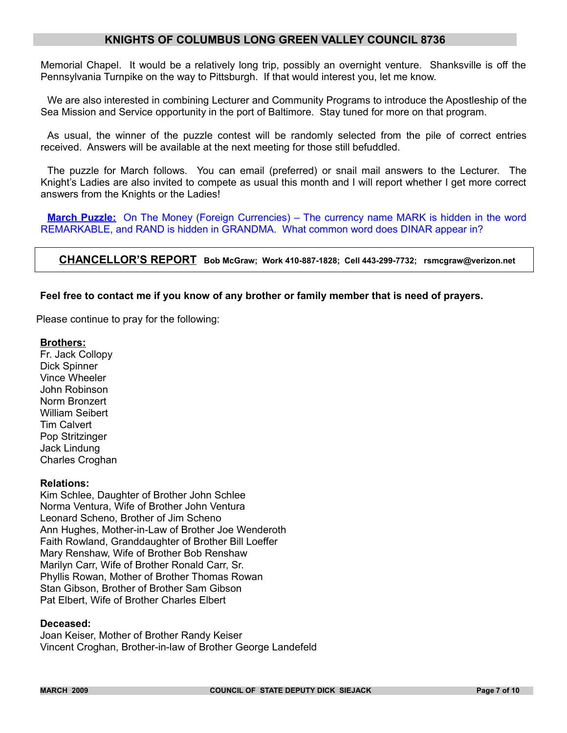Memorial Chapel. It would be a relatively long trip, possibly an overnight venture. Shanksville is off the Pennsylvania Turnpike on the way to Pittsburgh. If that would interest you, let me know.

We are also interested in combining Lecturer and Community Programs to introduce the Apostleship of the Sea Mission and Service opportunity in the port of Baltimore. Stay tuned for more on that program.

As usual, the winner of the puzzle contest will be randomly selected from the pile of correct entries received. Answers will be available at the next meeting for those still befuddled.

The puzzle for March follows. You can email (preferred) or snail mail answers to the Lecturer. The Knight's Ladies are also invited to compete as usual this month and I will report whether I get more correct answers from the Knights or the Ladies!

**March Puzzle:** On The Money (Foreign Currencies) – The currency name MARK is hidden in the word REMARKABLE, and RAND is hidden in GRANDMA. What common word does DINAR appear in?

#### **CHANCELLOR'S REPORT Bob McGraw; Work 410-887-1828; Cell 443-299-7732; rsmcgraw@verizon.net**

#### **Feel free to contact me if you know of any brother or family member that is need of prayers.**

Please continue to pray for the following:

#### **Brothers:**

Fr. Jack Collopy Dick Spinner Vince Wheeler John Robinson Norm Bronzert William Seibert Tim Calvert Pop Stritzinger Jack Lindung Charles Croghan

#### **Relations:**

Kim Schlee, Daughter of Brother John Schlee Norma Ventura, Wife of Brother John Ventura Leonard Scheno, Brother of Jim Scheno Ann Hughes, Mother-in-Law of Brother Joe Wenderoth Faith Rowland, Granddaughter of Brother Bill Loeffer Mary Renshaw, Wife of Brother Bob Renshaw Marilyn Carr, Wife of Brother Ronald Carr, Sr. Phyllis Rowan, Mother of Brother Thomas Rowan Stan Gibson, Brother of Brother Sam Gibson Pat Elbert, Wife of Brother Charles Elbert

#### **Deceased:**

Joan Keiser, Mother of Brother Randy Keiser Vincent Croghan, Brother-in-law of Brother George Landefeld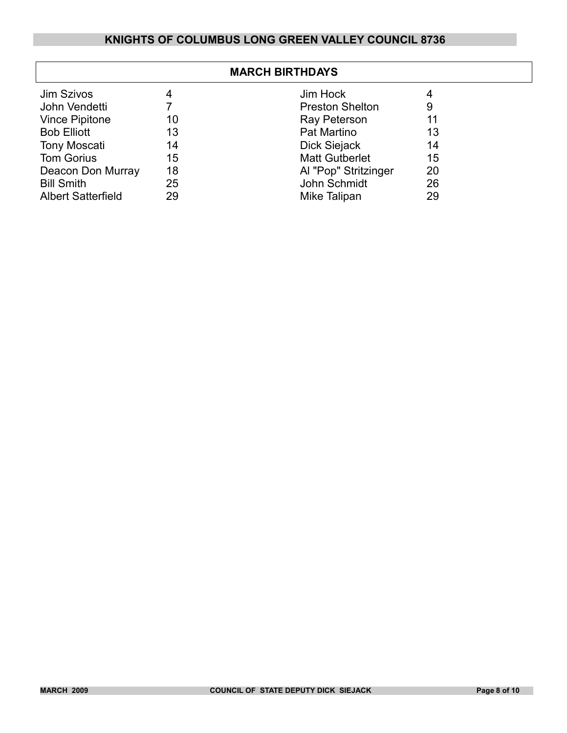| <b>MARCH BIRTHDAYS</b>    |    |                        |    |
|---------------------------|----|------------------------|----|
| <b>Jim Szivos</b>         | 4  | Jim Hock               | 4  |
| John Vendetti             |    | <b>Preston Shelton</b> | 9  |
| <b>Vince Pipitone</b>     | 10 | Ray Peterson           | 11 |
| <b>Bob Elliott</b>        | 13 | Pat Martino            | 13 |
| <b>Tony Moscati</b>       | 14 | Dick Siejack           | 14 |
| <b>Tom Gorius</b>         | 15 | <b>Matt Gutberlet</b>  | 15 |
| Deacon Don Murray         | 18 | Al "Pop" Stritzinger   | 20 |
| <b>Bill Smith</b>         | 25 | John Schmidt           | 26 |
| <b>Albert Satterfield</b> | 29 | Mike Talipan           | 29 |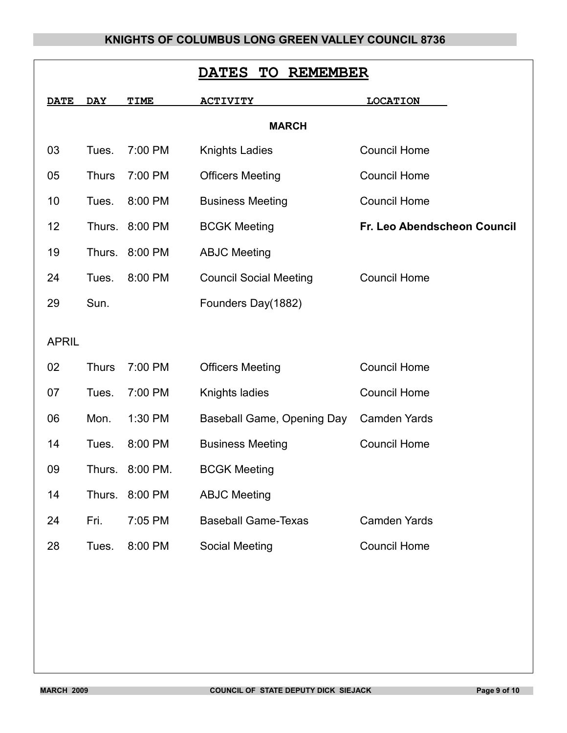| <b>REMEMBER</b><br><b>DATES</b><br><b>TO</b> |              |                |                               |                             |  |  |  |  |  |
|----------------------------------------------|--------------|----------------|-------------------------------|-----------------------------|--|--|--|--|--|
| <b>DATE</b>                                  | <b>DAY</b>   | TIME           | <u>ACTIVITY</u>               | <b>LOCATION</b>             |  |  |  |  |  |
| <b>MARCH</b>                                 |              |                |                               |                             |  |  |  |  |  |
| 03                                           | Tues.        | 7:00 PM        | <b>Knights Ladies</b>         | <b>Council Home</b>         |  |  |  |  |  |
| 05                                           | <b>Thurs</b> | 7:00 PM        | <b>Officers Meeting</b>       | <b>Council Home</b>         |  |  |  |  |  |
| 10                                           | Tues.        | 8:00 PM        | <b>Business Meeting</b>       | <b>Council Home</b>         |  |  |  |  |  |
| 12                                           | Thurs.       | 8:00 PM        | <b>BCGK Meeting</b>           | Fr. Leo Abendscheon Council |  |  |  |  |  |
| 19                                           | Thurs.       | 8:00 PM        | <b>ABJC Meeting</b>           |                             |  |  |  |  |  |
| 24                                           | Tues.        | 8:00 PM        | <b>Council Social Meeting</b> | <b>Council Home</b>         |  |  |  |  |  |
| 29                                           | Sun.         |                | Founders Day(1882)            |                             |  |  |  |  |  |
| <b>APRIL</b>                                 |              |                |                               |                             |  |  |  |  |  |
|                                              |              |                |                               |                             |  |  |  |  |  |
| 02                                           | <b>Thurs</b> | 7:00 PM        | <b>Officers Meeting</b>       | <b>Council Home</b>         |  |  |  |  |  |
| 07                                           | Tues.        | 7:00 PM        | Knights ladies                | <b>Council Home</b>         |  |  |  |  |  |
| 06                                           | Mon.         | 1:30 PM        | Baseball Game, Opening Day    | <b>Camden Yards</b>         |  |  |  |  |  |
| 14                                           | Tues.        | 8:00 PM        | <b>Business Meeting</b>       | <b>Council Home</b>         |  |  |  |  |  |
| 09                                           | Thurs.       | 8:00 PM.       | <b>BCGK Meeting</b>           |                             |  |  |  |  |  |
| 14                                           |              | Thurs. 8:00 PM | <b>ABJC Meeting</b>           |                             |  |  |  |  |  |
| 24                                           | Fri.         | 7:05 PM        | <b>Baseball Game-Texas</b>    | <b>Camden Yards</b>         |  |  |  |  |  |
| 28                                           | Tues.        | 8:00 PM        | Social Meeting                | <b>Council Home</b>         |  |  |  |  |  |